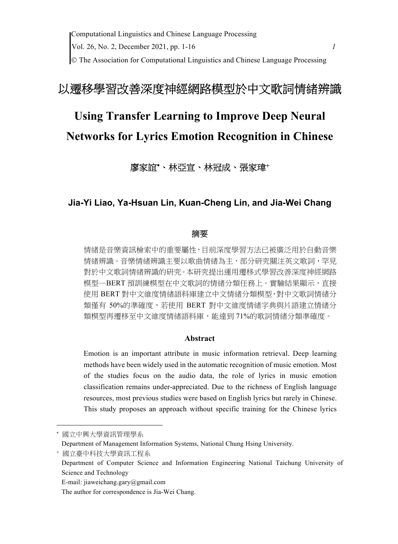## 以遷移學習改善深度神經網路模型於中文歌詞情緒辨識

# **Using Transfer Learning to Improve Deep Neural Networks for Lyrics Emotion Recognition in Chinese**

廖家誼\*、林亞宣、林冠成、張家瑋+

## **Jia-Yi Liao, Ya-Hsuan Lin, Kuan-Cheng Lin, and Jia-Wei Chang**

#### 摘要

情緒是音樂資訊檢索中的重要屬性,目前深度學習方法已被廣泛用於自動音樂 情緒辨識。音樂情緒辨識主要以歌曲情緒為主,部分研究關注英文歌詞,罕見 對於中文歌詞情緒辨識的研究。本研究提出運用遷移式學習改善深度神經網路 模型─BERT 預訓練模型在中文歌詞的情緒分類任務上。實驗結果顯示,直接 使用 BERT 對中文維度情緒語料庫建立中文情緒分類模型,對中文歌詞情緒分 類僅有 50%的準確度,若使用 BERT 對中文維度情緒字典與片語建立情緒分 類模型再遷移至中文維度情緒語料庫,能達到 71%的歌詞情緒分類準確度。

#### **Abstract**

Emotion is an important attribute in music information retrieval. Deep learning methods have been widely used in the automatic recognition of music emotion. Most of the studies focus on the audio data, the role of lyrics in music emotion classification remains under-appreciated. Due to the richness of English language resources, most previous studies were based on English lyrics but rarely in Chinese. This study proposes an approach without specific training for the Chinese lyrics

國立中興大學資訊管理學系

Department of Management Information Systems, National Chung Hsing University.

國立臺中科技大學資訊工程系

Department of Computer Science and Information Engineering National Taichung University of Science and Technology

E-mail: jiaweichang.gary@gmail.com

The author for correspondence is Jia-Wei Chang.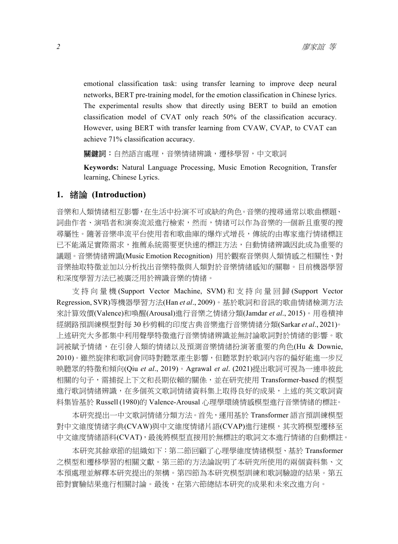emotional classification task: using transfer learning to improve deep neural networks, BERT pre-training model, for the emotion classification in Chinese lyrics. The experimental results show that directly using BERT to build an emotion classification model of CVAT only reach 50% of the classification accuracy. However, using BERT with transfer learning from CVAW, CVAP, to CVAT can achieve 71% classification accuracy.

**關鍵詞:**自然語言處理,音樂情緒辨識,遷移學習,中文歌詞

**Keywords:** Natural Language Processing, Music Emotion Recognition, Transfer learning, Chinese Lyrics.

#### **1.** 緒論 **(Introduction)**

音樂和人類情緒相互影響,在生活中扮演不可或缺的角色。音樂的搜尋通常以歌曲標題、 詞曲作者、演唱者和演奏流派進行檢索,然而,情緒可以作為音樂的一個新且重要的搜 尋屬性。隨著音樂串流平台使用者和歌曲庫的爆炸式增長,傳統的由專家進行情緒標註 已不能滿足實際需求,推薦系統需要更快速的標註方法,自動情緒辨識因此成為重要的 議題。音樂情緒辨識(Music Emotion Recognition) 用於觀察音樂與人類情感之相關性、對 音樂抽取特徵並加以分析找出音樂特徵與人類對於音樂情緒感知的關聯。目前機器學習 和深度學習方法已被廣泛用於辨識音樂的情緒。

支持向量機 (Support Vector Machine, SVM) 和支持向量回歸 (Support Vector Regression, SVR)等機器學習方法(Han *et al*., 2009)。基於歌詞和音訊的歌曲情緒檢測方法 來計算效價(Valence)和喚醒(Arousal)進行音樂之情緒分類(Jamdar *et al*., 2015)。用卷積神 經網路預訓練模型對每 30 秒剪輯的印度古典音樂進行音樂情緒分類(Sarkar *et al*., 2021)。 上述研究大多都集中利用聲學特徵進行音樂情緒辨識並無討論歌詞對於情緒的影響。歌 詞被賦予情緒,在引發人類的情緒以及預測音樂情緒扮演著重要的角色(Hu & Downie, 2010)。雖然旋律和歌詞會同時對聽眾產生影響,但聽眾對於歌詞內容的偏好能進一步反 映聽眾的特徵和傾向(Qiu *et al*., 2019)。Agrawal *et al*. (2021)提出歌詞可視為一連串彼此 相關的句子,需捕捉上下文和長期依賴的關係,並在研究使用 Transformer-based 的模型 進行歌詞情緒辨識,在多個英文歌詞情緒資料集上取得良好的成果,上述的英文歌詞資 料集皆基於 Russell (1980)的 Valence-Arousal 心理學環繞情感模型進行音樂情緒的標註。

本研究提出一中文歌詞情緒分類方法。首先,運用基於 Transformer 語言預訓練模型 對中文維度情緒字典(CVAW)與中文維度情緒片語(CVAP)進行建模,其次將模型遷移至 中文維度情緒語料(CVAT),最後將模型直接用於無標註的歌詞文本進行情緒的自動標註。

本研究其餘章節的組織如下:第二節回顧了心理學維度情緒模型、基於 Transformer 之模型和遷移學習的相關文獻。第三節的方法論說明了本研究所使用的兩個資料集、文 本預處理並解釋本研究提出的架構。第四節為本研究模型訓練和歌詞驗證的結果。第五 節對實驗結果進行相關討論。最後,在第六節總結本研究的成果和未來改進方向。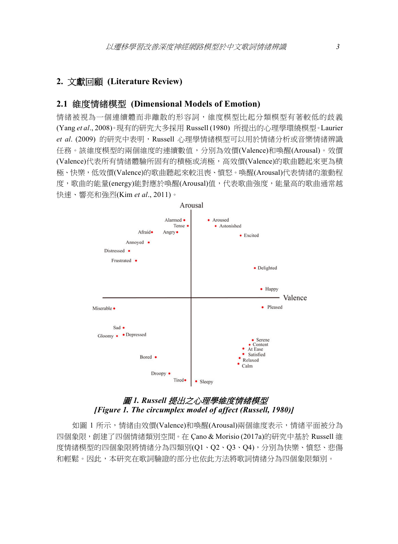## **2.** 文獻回顧 **(Literature Review)**

#### **2.1** 維度情緒模型 **(Dimensional Models of Emotion)**

情緒被視為一個連續體而非離散的形容詞,維度模型比起分類模型有著較低的歧義 (Yang *et al*., 2008)。現有的研究大多採用 Russell (1980) 所提出的心理學環繞模型。Laurier et al. (2009) 的研究中表明, Russell 心理學情緒模型可以用於情緒分析或音樂情緒辨識 任務。該維度模型的兩個維度的連續數值,分別為效價(Valence)和喚醒(Arousal)。效價 (Valence)代表所有情緒體驗所固有的積極或消極,高效價(Valence)的歌曲聽起來更為積 極、快樂,低效價(Valence)的歌曲聽起來較沮喪、憤怒。喚醒(Arousal)代表情緒的激動程 度,歌曲的能量(energy)能對應於喚醒(Arousal)值,代表歌曲強度,能量高的歌曲通常越 快速、響亮和強烈(Kim *et al*., 2011)。



## 圖 *1. Russell* 提出之心理學維度情緒模型  *[Figure 1. The circumplex model of affect (Russell, 1980)]*

如圖 1 所示,情緒由效價(Valence)和喚醒(Arousal)兩個維度表示,情緒平面被分為 四個象限,創建了四個情緒類別空間。在 Çano & Morisio (2017a)的研究中基於 Russell 維 度情緒模型的四個象限將情緒分為四類別(Q1、Q2、Q3、Q4),分別為快樂、憤怒、悲傷 和輕鬆。因此,本研究在歌詞驗證的部分也依此方法將歌詞情緒分為四個象限類別。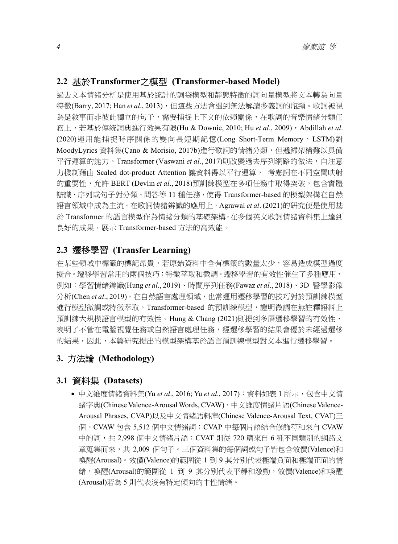## **2.2** 基於**Transformer**之模型 **(Transformer-based Model)**

過去文本情緒分析是使用基於統計的詞袋模型和靜態特徵的詞向量模型將文本轉為向量 特徵(Barry, 2017; Han et al., 2013), 但這些方法會遇到無法解讀多義詞的瓶頸。歌詞被視 為是敘事而非彼此獨立的句子,需要捕捉上下文的依賴關係,在歌詞的音樂情緒分類任 務上,若基於傳統詞典進行效果有限(Hu & Downie, 2010; Hu *et al.*, 2009), Abdillah *et al.* (2020)運用能捕捉時序關係的雙向長短期記憶(Long Short-Term Memory, LSTM)對 MoodyLyrics 資料集(Cano & Morisio, 2017b)進行歌詞的情緒分類, 但遞歸架構難以具備 平行運算的能力。Transformer (Vaswani et al., 2017)則改變過去序列網路的做法,自注意 力機制藉由 Scaled dot-product Attention 讓資料得以平行運算, 考慮詞在不同空間映射 的重要性,允許 BERT (Devlin *et al*., 2018)預訓練模型在多項任務中取得突破,包含實體 辯識、序列或句子對分類、問答等 11 種任務,使得 Transformer-based 的模型架構在自然 語言領域中成為主流。在歌詞情緒辨識的應用上,Agrawal *et al*. (2021)的研究便是使用基 於 Transformer 的語言模型作為情緒分類的基礎架構,在多個英文歌詞情緒資料集上達到 良好的成果,展示 Transformer-based 方法的高效能。

## **2.3** 遷移學習 **(Transfer Learning)**

在某些領域中標籤的標記昂貴,若原始資料中含有標籤的數量太少,容易造成模型過度 擬合。遷移學習常用的兩個技巧:特徵萃取和微調。遷移學習的有效性催生了多種應用, 例如:學習情緒辯識(Hung *et al*., 2019)、時間序列任務(Fawaz *et al*., 2018)、3D 醫學影像 分析(Chen *et al*., 2019)。在自然語言處理領域,也常運用遷移學習的技巧對於預訓練模型 進行模型微調或特徵萃取,Transformer-based 的預訓練模型,證明微調在無註釋語料上 預訓練大規模語言模型的有效性。Hung & Chang (2021)則提到多層遷移學習的有效性, 表明了不管在電腦視覺任務或自然語言處理任務,經遷移學習的結果會優於未經過遷移 的結果,因此,本篇研究提出的模型架構基於語言預訓練模型對文本進行遷移學習。

## **3.** 方法論 **(Methodology)**

## **3.1** 資料集 **(Datasets)**

● 中文維度情緒資料集(Yu *et al.*, 2016; Yu *et al.*, 2017):資料如表 1 所示,包含中文情 緒字典(Chinese Valence-Arousal Words, CVAW)、中文維度情緒片語(Chinese Valence-Arousal Phrases, CVAP)以及中文情緒語料庫(Chinese Valence-Arousal Text, CVAT)三 個。CVAW 包含 5,512 個中文情緒詞;CVAP 中每個片語結合修飾符和來自 CVAW 中的詞,共 2,998 個中文情緒片語;CVAT 則從 720 篇來自 6 種不同類別的網路文 章蒐集而來,共 2,009 個句子。三個資料集的每個詞或句子皆包含效價(Valence)和 喚醒(Arousal)。效價(Valence)的範圍從 1 到 9 其分別代表極端負面和極端正面的情 緒,喚醒(Arousal)的範圍從 1 到 9 其分別代表平靜和激動,效價(Valence)和喚醒 (Arousal)若為 5 則代表沒有特定傾向的中性情緒。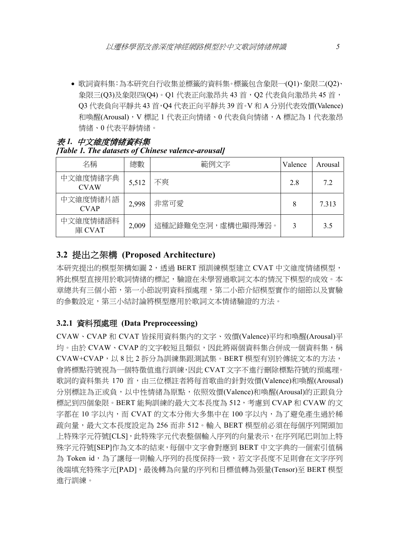歌詞資料集:為本研究自行收集並標籤的資料集。標籤包含象限一(Q1)、象限二(Q2)、 象限三(Q3)及象限四(Q4)。Q1 代表正向激昂共 43 首,Q2 代表負向激昂共 45 首, Q3 代表負向平靜共 43 首,Q4 代表正向平靜共 39 首。V 和 A 分別代表效價(Valence) 和喚醒(Arousal), V 標記 1 代表正向情緒、0 代表負向情緒, A 標記為 1 代表激昂 情緒、0 代表平靜情緒。

## 表 *1.* 中文維度情緒資料集 *[Table 1. The datasets of Chinese valence-arousal]*

| 名稱                      | 總數    | 範例文字              | Valence | Arousal |
|-------------------------|-------|-------------------|---------|---------|
| 中文維度情緒字典<br><b>CVAW</b> | 5,512 | 不爽                | 2.8     | 7.2     |
| 中文維度情緒片語<br><b>CVAP</b> | 2,998 | 非常可愛              | 8       | 7.313   |
| 中文維度情緒語料<br>庫 CVAT      | 2.009 | 這種記錄難免空洞,虛構也顯得薄弱。 | 3       | 3.5     |

## **3.2** 提出之架構 **(Proposed Architecture)**

本研究提出的模型架構如圖 2,透過 BERT 預訓練模型建立 CVAT 中文維度情緒模型, 將此模型直接用於歌詞情緒的標記,驗證在未學習過歌詞文本的情況下模型的成效。本 章總共有三個小節,第一小節說明資料預處理,第二小節介紹模型實作的細節以及實驗 的參數設定,第三小結討論將模型應用於歌詞文本情緒驗證的方法。

#### **3.2.1** 資料預處理 **(Data Preproceessing)**

CVAW、CVAP 和 CVAT 皆採用資料集內的文字、效價(Valence)平均和喚醒(Arousal)平 均。由於 CVAW、CVAP 的文字較短且類似,因此將兩個資料集合併成一個資料集,稱 CVAW+CVAP,以 8 比 2 拆分為訓練集跟測試集。BERT 模型有別於傳統文本的方法, 會將標點符號視為一個特徵值進行訓練,因此 CVAT 文字不進行刪除標點符號的預處理。 歌詞的資料集共 170 首,由三位標註者將每首歌曲的針對效價(Valence)和喚醒(Arousal) 分別標註為正或負,以中性情緒為原點,依照效價(Valence)和喚醒(Arousal)的正跟負分 標記到四個象限。BERT 能夠訓練的最大文本長度為 512,考慮到 CVAP 和 CVAW 的文 字都在 10 字以内,而 CVAT 的文本分佈大多集中在 100 字以内,為了避免產生過於稀 疏向量,最大文本長度設定為 256 而非 512。輸入 BERT 模型前必須在每個序列開頭加 上特殊字元符號[CLS],此特殊字元代表整個輸入序列的向量表示,在序列尾巴則加上特 殊字元符號[SEP]作為文本的結束,每個中文字會對應到 BERT 中文字典的一個索引值稱 為 Token id,為了讓每一則輸入序列的長度保持一致,若文字長度不足則會在文字序列 後端填充特殊字元[PAD],最後轉為向量的序列和目標值轉為張量(Tensor)至 BERT 模型 進行訓練。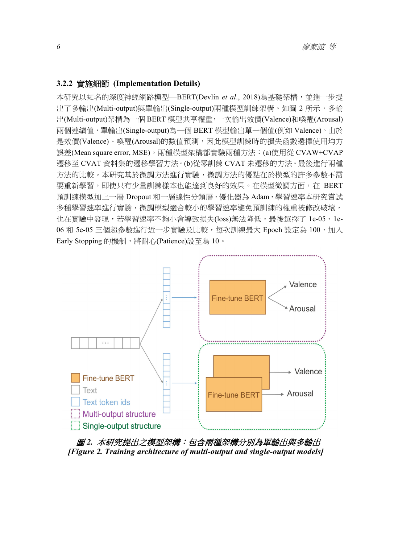#### **3.2.2** 實施細節 **(Implementation Details)**

本研究以知名的深度神經網路模型–BERT(Devlin et al., 2018)為基礎架構,並進一步提 出了多輸出(Multi-output)與單輸出(Single-output)兩種模型訓練架構。如圖 2 所示,多輸 出(Multi-output)架構為一個 BERT 模型共享權重,一次輸出效價(Valence)和喚醒(Arousal) 兩個連續值,單輸出(Single-output)為一個 BERT 模型輸出單一個值(例如 Valence)。由於 是效價(Valence)、喚醒(Arousal)的數值預測,因此模型訓練時的損失函數選擇使用均方 誤差(Mean square error, MSE)。兩種模型架構都實驗兩種方法:(a)使用從 CVAW+CVAP 遷移至 CVAT 資料集的遷移學習方法。(b)從零訓練 CVAT 未遷移的方法。最後進行兩種 方法的比較。本研究基於微調方法進行實驗,微調方法的優點在於模型的許多參數不需 要重新學習,即使只有少量訓練樣本也能達到良好的效果。在模型微調方面,在 BERT 預訓練模型加上一層 Dropout 和一層線性分類層,優化器為 Adam,學習速率本研究嘗試 多種學習速率進行實驗,微調模型適合較小的學習速率避免預訓練的權重被修改破壞, 也在實驗中發現,若學習速率不夠小會導致損失(loss)無法降低,最後選擇了 1e-05、1e-06 和 5e-05 三個超參數進行近一步實驗及比較,每次訓練最大 Epoch 設定為 100,加入 Early Stopping 的機制,將耐心(Patience)設至為 10。



圖 *2.* 本研究提出之模型架構:包含兩種架構分別為單輸出與多輸出  *[Figure 2. Training architecture of multi-output and single-output models]*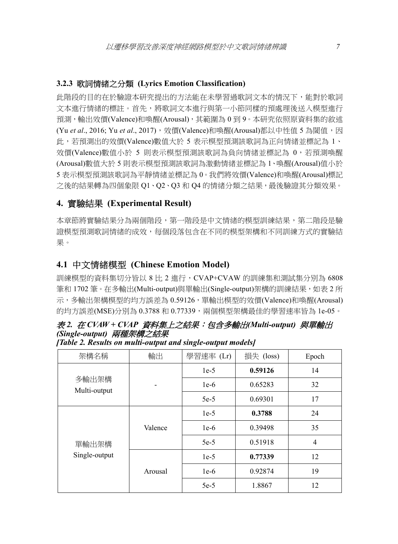#### **3.2.3** 歌詞情緒之分類 **(Lyrics Emotion Classification)**

此階段的目的在於驗證本研究提出的方法能在未學習過歌詞文本的情況下,能對於歌詞 文本進行情緒的標註。首先,將歌詞文本進行與第一小節同樣的預處理後送入模型進行 預測,輸出效價(Valence)和喚醒(Arousal),其範圍為 0 到 9。本研究依照原資料集的敘述 (Yu *et al.*, 2016; Yu *et al.*, 2017),效價(Valence)和喚醒(Arousal)都以中性值 5 為閾值,因 此,若預測出的效價(Valence)數值大於 5 表示模型預測該歌詞為正向情緒並標記為 1、 效價(Valence)數值小於 5 則表示模型預測該歌詞為負向情緒並標記為 0,若預測喚醒 (Arousal)數值大於 5 則表示模型預測該歌詞為激動情緒並標記為 1、喚醒(Arousal)值小於 5 表示模型預測該歌詞為平靜情緒並標記為 0。我們將效價(Valence)和喚醒(Arousal)標記 之後的結果轉為四個象限 Q1、Q2、Q3 和 Q4 的情緒分類之結果,最後驗證其分類效果。

#### **4.** 實驗結果 **(Experimental Result)**

本章節將實驗結果分為兩個階段,第一階段是中文情緒的模型訓練結果,第二階段是驗 證模型預測歌詞情緒的成效,每個段落包含在不同的模型架構和不同訓練方式的實驗結 果。

## **4.1** 中文情緒模型 **(Chinese Emotion Model)**

訓練模型的資料集切分皆以 8 比 2 進行,CVAP+CVAW 的訓練集和測試集分別為 6808 筆和 1702 筆。在多輸出(Multi-output)與單輸出(Single-output)架構的訓練結果,如表 2 所 示,多輸出架構模型的均方誤差為 0.59126,單輸出模型的效價(Valence)和喚醒(Arousal) 的均方誤差(MSE)分別為 0.3788 和 0.77339,兩個模型架構最佳的學習速率皆為 1e-05。

## 表 *2.* 在 *CVAW + CVAP* 資料集上之結果:包含多輸出*(Multi-output)* 與單輸出 *(Single-output)* 兩種架構之結果

| 架構名稱                   | 輸出      | 學習速率 (Lr) | 損失 (loss) | Epoch          |
|------------------------|---------|-----------|-----------|----------------|
|                        |         | $1e-5$    | 0.59126   | 14             |
| 多輸出架構<br>Multi-output  |         | $1e-6$    | 0.65283   | 32             |
|                        |         | $5e-5$    | 0.69301   | 17             |
|                        |         | $1e-5$    | 0.3788    | 24             |
| 單輸出架構<br>Single-output | Valence | $1e-6$    | 0.39498   | 35             |
|                        |         | $5e-5$    | 0.51918   | $\overline{4}$ |
|                        |         | $1e-5$    | 0.77339   | 12             |
|                        | Arousal | $1e-6$    | 0.92874   | 19             |
|                        |         | $5e-5$    | 1.8867    | 12             |

*[Table 2. Results on multi-output and single-output models]*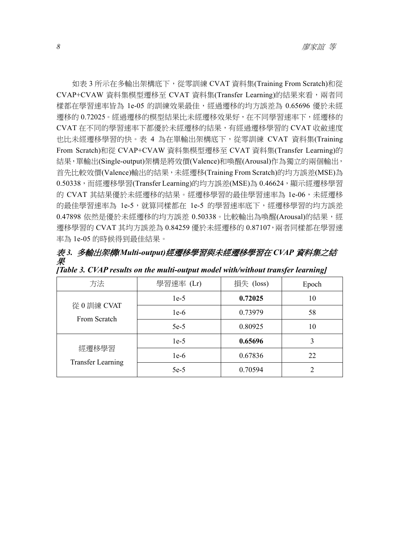如表 3 所示在多輸出架構底下,從零訓練 CVAT 資料集(Training From Scratch)和從 CVAP+CVAW 資料集模型遷移至 CVAT 資料集(Transfer Learning)的結果來看,兩者同 樣都在學習速率皆為 1e-05 的訓練效果最佳,經過遷移的均方誤差為 0.65696 優於未經 遷移的 0.72025。經過遷移的模型結果比未經遷移效果好,在不同學習速率下,經遷移的 CVAT 在不同的學習速率下都優於未經遷移的結果,有經過遷移學習的 CVAT 收斂速度 也比未經遷移學習的快。表 4 為在單輸出架構底下,從零訓練 CVAT 資料集(Training From Scratch)和從 CVAP+CVAW 資料集模型遷移至 CVAT 資料集(Transfer Learning)的 結果,單輸出(Single-output)架構是將效價(Valence)和喚醒(Arousal)作為獨立的兩個輸出, 首先比較效價(Valence)輸出的結果,未經遷移(Training From Scratch)的均方誤差(MSE)為 0.50338,而經遷移學習(Transfer Learning)的均方誤差(MSE)為 0.46624,顯示經遷移學習 的 CVAT 其結果優於未經遷移的結果。經遷移學習的最佳學習速率為 1e-06,未經遷移 的最佳學習速率為 1e-5,就算同樣都在 1e-5 的學習速率底下,經遷移學習的均方誤差 0.47898 依然是優於未經遷移的均方誤差 0.50338。比較輸出為喚醒(Arousal)的結果,經 遷移學習的 CVAT 其均方誤差為 0.84259 優於未經遷移的 0.87107,兩者同樣都在學習速 率為 1e-05 的時候得到最佳結果。

表 *3.* 多輸出架構*(Multi-output)*經遷移學習與未經遷移學習在 *CVAP* 資料集之結 果 *[Table 3. CVAP results on the multi-output model with/without transfer learning]* 

| 方法                       | 學習速率 (Lr)                                              | 損失 (loss) | Epoch |
|--------------------------|--------------------------------------------------------|-----------|-------|
|                          | $1e-5$                                                 | 0.72025   | 10    |
|                          | $1e-6$                                                 | 0.73979   | 58    |
|                          | 從0訓練 CVAT<br>From Scratch<br>$5e-5$<br>$1e-5$<br>經遷移學習 | 0.80925   | 10    |
|                          |                                                        | 0.65696   | 3     |
| <b>Transfer Learning</b> | $1e-6$                                                 | 0.67836   | 22    |
|                          | $5e-5$                                                 | 0.70594   |       |
|                          |                                                        |           |       |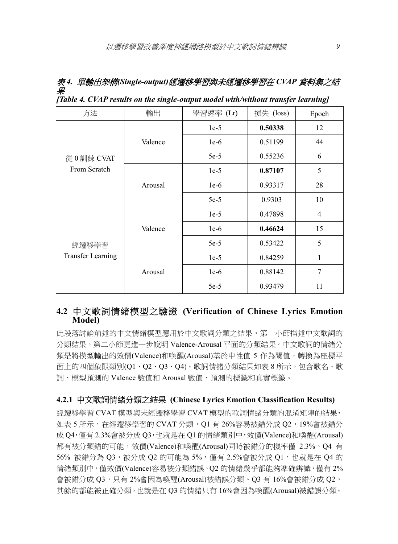表 *4.* 單輸出架構*(Single-output)*經遷移學習與未經遷移學習在 *CVAP* 資料集之結 果 *[Table 4. CVAP results on the single-output model with/without transfer learning]* 

| 方法                                | 輸出      | 學習速率 (Lr) | 損失 (loss) | Epoch          |
|-----------------------------------|---------|-----------|-----------|----------------|
|                                   |         | $1e-5$    | 0.50338   | 12             |
|                                   | Valence | $1e-6$    | 0.51199   | 44             |
| 從0訓練 CVAT                         |         | $5e-5$    | 0.55236   | 6              |
| From Scratch                      |         | $1e-5$    | 0.87107   | 5              |
|                                   | Arousal | $1e-6$    | 0.93317   | 28             |
|                                   |         | $5e-5$    | 0.9303    | 10             |
| 經遷移學習<br><b>Transfer Learning</b> | Valence | $1e-5$    | 0.47898   | $\overline{4}$ |
|                                   |         | $1e-6$    | 0.46624   | 15             |
|                                   |         | $5e-5$    | 0.53422   | 5              |
|                                   |         | $1e-5$    | 0.84259   | 1              |
|                                   | Arousal | $1e-6$    | 0.88142   | 7              |
|                                   |         | $5e-5$    | 0.93479   | 11             |

## **4.2** 中文歌詞情緒模型之驗證 **(Verification of Chinese Lyrics Emotion Model)**

此段落討論前述的中文情緒模型應用於中文歌詞分類之結果,第一小節描述中文歌詞的 分類結果,第二小節更進一步說明 Valence-Arousal 平面的分類結果。中文歌詞的情緒分 類是將模型輸出的效價(Valence)和喚醒(Arousal)基於中性值 5 作為閾值,轉換為座標平 面上的四個象限類別(Q1、Q2、Q3、Q4)。歌詞情緒分類結果如表 8 所示,包含歌名、歌 詞、模型預測的 Valence 數值和 Arousal 數值、預測的標籤和真實標籤。

#### **4.2.1** 中文歌詞情緒分類之結果 **(Chinese Lyrics Emotion Classification Results)**

經遷移學習 CVAT 模型與未經遷移學習 CVAT 模型的歌詞情緒分類的混淆矩陣的結果, 如表 5 所示,在經遷移學習的 CVAT 分類,Q1 有 26%容易被錯分成 Q2,19%會被錯分 成 Q4,僅有 2.3%會被分成 Q3,也就是在 Q1 的情緒類別中,效價(Valence)和喚醒(Arousal) 都有被分類錯的可能,效價(Valence)和喚醒(Arousal)同時被錯分的機率僅 2.3%。Q4 有 56% 被錯分為 Q3,被分成 Q2 的可能為 5%, 僅有 2.5%會被分成 Q1, 也就是在 Q4 的 情緒類別中,僅效價(Valence)容易被分類錯誤。Q2 的情緒幾乎都能夠準確辨識,僅有 2% 會被錯分成 Q3,只有 2%會因為喚醒(Arousal)被錯誤分類。Q3 有 16%會被錯分成 Q2, 其餘的都能被正確分類,也就是在 Q3 的情緒只有 16%會因為喚醒(Arousal)被錯誤分類。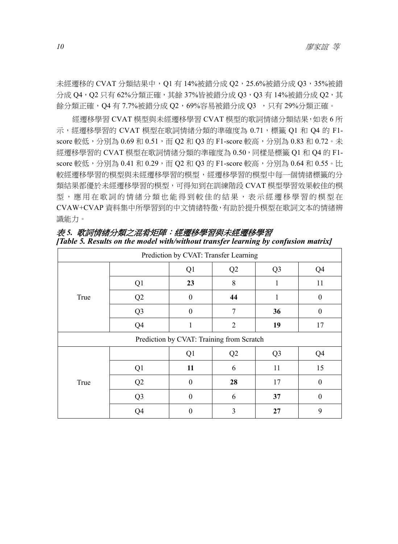未經遷移的 CVAT 分類結果中, Q1 有 14%被錯分成 Q2, 25.6%被錯分成 Q3, 35%被錯 分成 Q4,Q2 只有 62%分類正確,其餘 37%皆被錯分成 Q3,Q3 有 14%被錯分成 Q2,其 餘分類正確,Q4 有 7.7%被錯分成 Q2,69%容易被錯分成 Q3 ,只有 29%分類正確。

經遷移學習 CVAT 模型與未經遷移學習 CVAT 模型的歌詞情緒分類結果,如表 6 所 示,經遷移學習的 CVAT 模型在歌詞情緒分類的準確度為 0.71,標籤 Q1 和 Q4 的 F1score 較低,分別為 0.69 和 0.51, 而 Q2 和 Q3 的 F1-score 較高,分別為 0.83 和 0.72。未 經遷移學習的 CVAT 模型在歌詞情緒分類的準確度為 0.50,同樣是標籤 Q1 和 Q4 的 F1 score 較低,分別為 0.41 和 0.29,而 Q2 和 Q3 的 F1-score 較高,分別為 0.64 和 0.55。比 較經遷移學習的模型與未經遷移學習的模型,經遷移學習的模型中每一個情緒標籤的分 類結果都優於未經遷移學習的模型,可得知到在訓練階段 CVAT 模型學習效果較佳的模 型,應用在歌詞的情緒分類也能得到較佳的結果,表示經遷移學習的模型在 CVAW+CVAP 資料集中所學習到的中文情緒特徵,有助於提升模型在歌詞文本的情緒辨 識能力。

| Prediction by CVAT: Transfer Learning |                |              |                                           |                |          |
|---------------------------------------|----------------|--------------|-------------------------------------------|----------------|----------|
|                                       |                | Q1           | Q2                                        | Q <sub>3</sub> | Q4       |
|                                       | Q1             | 23           | 8                                         | 1              | 11       |
| True                                  | Q2             | $\theta$     | 44                                        | 1              | $\theta$ |
|                                       | Q <sub>3</sub> | $\mathbf{0}$ | 7                                         | 36             | $\theta$ |
|                                       | Q4             |              | $\overline{2}$                            | 19             | 17       |
|                                       |                |              | Prediction by CVAT: Training from Scratch |                |          |
|                                       |                | Q1           | Q2                                        | Q <sub>3</sub> | Q4       |
|                                       | Q1             | 11           | 6                                         | 11             | 15       |
| True                                  | Q2             | $\Omega$     | 28                                        | 17             | $\theta$ |
|                                       | Q <sub>3</sub> | $\theta$     | 6                                         | 37             | $\theta$ |
|                                       | Q <sub>4</sub> | $\theta$     | 3                                         | 27             | 9        |

| 表 5. 歌詞情緒分類之混肴矩陣:經遷移學習與未經遷移學習                                                      |  |
|------------------------------------------------------------------------------------|--|
| [Table 5. Results on the model with/without transfer learning by confusion matrix] |  |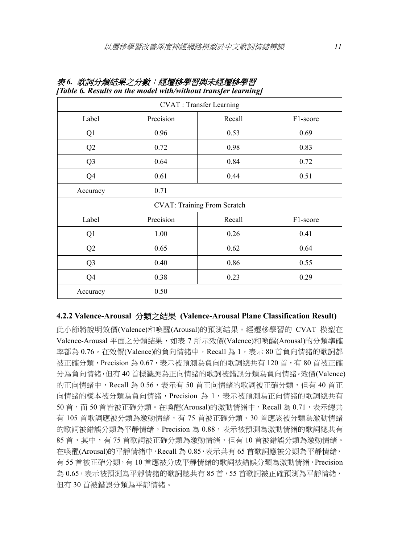| <b>CVAT</b> : Transfer Learning |           |                                    |          |  |
|---------------------------------|-----------|------------------------------------|----------|--|
| Label                           | Precision | Recall                             | F1-score |  |
| Q <sub>1</sub>                  | 0.96      | 0.53                               | 0.69     |  |
| Q2                              | 0.72      | 0.98                               | 0.83     |  |
| Q <sub>3</sub>                  | 0.64      | 0.84                               | 0.72     |  |
| Q4                              | 0.61      | 0.44                               | 0.51     |  |
| Accuracy                        | 0.71      |                                    |          |  |
|                                 |           | <b>CVAT: Training From Scratch</b> |          |  |
| Label                           | Precision | Recall                             | F1-score |  |
| Q <sub>1</sub>                  | 1.00      | 0.26                               | 0.41     |  |
| Q2                              | 0.65      | 0.62                               | 0.64     |  |
| Q <sub>3</sub>                  | 0.40      | 0.86                               | 0.55     |  |
| Q4                              | 0.38      | 0.23                               | 0.29     |  |
| Accuracy                        | 0.50      |                                    |          |  |

|  | 表 6. 歌詞分類結果之分數:經遷移學習與未經遷移學習                                    |  |
|--|----------------------------------------------------------------|--|
|  | [Table 6. Results on the model with/without transfer learning] |  |

#### **4.2.2 Valence-Arousal** 分類之結果 **(Valence-Arousal Plane Classification Result)**

此小節將說明效價(Valence)和喚醒(Arousal)的預測結果。經遷移學習的 CVAT 模型在 Valence-Arousal 平面之分類結果,如表 7 所示效價(Valence)和喚醒(Arousal)的分類準確 率都為 0.76。在效價(Valence)的負向情緒中,Recall 為 1,表示 80 首負向情緒的歌詞都 被正確分類,Precision 為 0.67,表示被預測為負向的歌詞總共有 120 首,有 80 首被正確 分為負向情緒,但有 40 首標籤應為正向情緒的歌詞被錯誤分類為負向情緒。效價(Valence) 的正向情緒中,Recall 為 0.56,表示有 50 首正向情緒的歌詞被正確分類,但有 40 首正 向情緒的樣本被分類為負向情緒,Precision 為 1,表示被預測為正向情緒的歌詞總共有 50 首, 而 50 首皆被正確分類。在喚醒(Arousal)的激動情緒中, Recall 為 0.71, 表示總共 有 105 首歌詞應被分類為激動情緒,有 75 首被正確分類、30 首應該被分類為激動情緒 的歌詞被錯誤分類為平靜情緒,Precision 為 0.88,丟示被預測為激動情緒的歌詞總共有 85 首,其中,有 75 首歌詞被正確分類為激動情緒,但有 10 首被錯誤分類為激動情緒。 在喚醒(Arousal)的平靜情緒中,Recall 為 0.85,表示共有 65 首歌詞應被分類為平靜情緒, 有 55 首被正確分類,有 10 首應被分成平靜情緒的歌詞被錯誤分類為激動情緒,Precision 為 0.65,表示被預測為平靜情緒的歌詞總共有 85 首,55 首歌詞被正確預測為平靜情緒, 但有 30 首被錯誤分類為平靜情緒。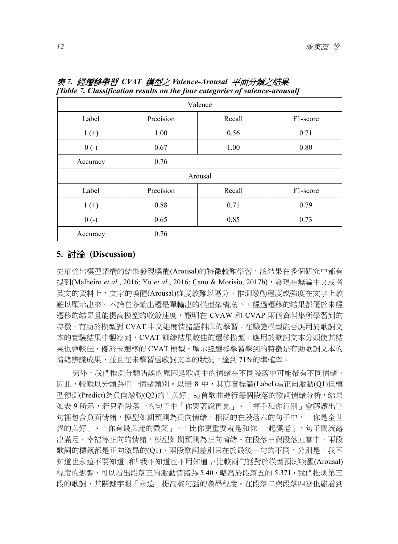| Valence  |           |         |                       |  |
|----------|-----------|---------|-----------------------|--|
| Label    | Precision | Recall  | F <sub>1</sub> -score |  |
| $1 (+)$  | 1.00      | 0.56    | 0.71                  |  |
| $0(-)$   | 0.67      | 1.00    | 0.80                  |  |
| Accuracy | 0.76      |         |                       |  |
|          |           | Arousal |                       |  |
| Label    | Precision | Recall  | F1-score              |  |
| $1 (+)$  | 0.88      | 0.71    | 0.79                  |  |
| $0(-)$   | 0.65      | 0.85    | 0.73                  |  |
| Accuracy | 0.76      |         |                       |  |

表 *7.* 經遷移學習 *CVAT* 模型之 *Valence-Arousal* 平面分類之結果 *[Table 7. Classification results on the four categories of valence-arousal]* 

## **5.** 討論 **(Discussion)**

從單輸出模型架構的結果發現喚醒(Arousal)的特徵較難學習,該結果在多個研究中都有 提到(Malheiro *et al.*, 2016; Yu *et al.*, 2016; Cano & Morisio, 2017b),發現在無論中文或者 英文的資料上,文字的喚醒(Arousal)維度較難以區分,推測激動程度或強度在文字上較 難以顯示出來。不論在多輸出還是單輸出的模型架構底下,經過遷移的結果都優於未經 遷移的結果且能提高模型的收斂速度,證明在 CVAW 和 CVAP 兩個資料集所學習到的 特徵,有助於模型對 CVAT 中文維度情緒語料庫的學習。在驗證模型能否應用於歌詞文 本的實驗結果中觀察到,CVAT 訓練結果較佳的遷移模型,應用於歌詞文本分類使其結 果也會較佳,優於未遷移的 CVAT 模型,顯示經遷移學習學到的特徵是有助歌詞文本的 情緒辨識成果,並且在未學習過歌詞文本的狀況下達到71%的準確率。

另外,我們推測分類錯誤的原因是歌詞中的情緒在不同段落中可能帶有不同情緒, 因此,較難以分類為單一情緒類別。以表 8 中,其真實標籤(Label)為正向激動(Q1)但模 型預測(Predict)為負向激動(Q2)的「美好」這首歌曲進行每個段落的歌詞情緒分析,結果 如表 9 所示,若只看段落一的句子中「你哭著說再見」、「揮手和你道別」會解讀出字 句裡包含負面情緒,模型如期預測為負向情緒,相反的在段落六的句子中,「你是全世 界的美好」、「你有最美麗的微笑」、「比你更重要就是和你 一起變老」,句子間流露 出滿足、幸福等正向的情緒,模型如期預測為正向情緒。在段落三與段落五當中,兩段 歌詞的標籤都是正向激昂的(Q1),兩段歌詞差別只在於最後一句的不同,分別是「我不 知道也永遠不要知道」和「我不知道也不用知道」,比較兩句話對於模型預測喚醒(Arousal) 程度的影響,可以看出段落三的激動情緒為 5.40,略高於段落五的 5.371,我們推測第三 段的歌詞,其關鍵字眼「永遠」提高整句話的激昂程度。在段落二與段落四當也能看到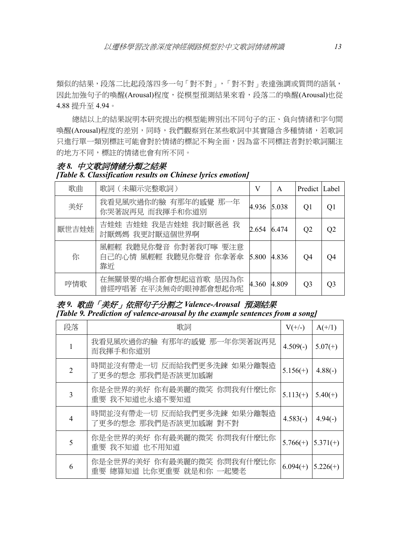類似的結果,段落二比起段落四多一句「對不對」,「對不對」表達強調或質問的語氣, 因此加強句子的喚醒(Arousal)程度,從模型預測結果來看,段落二的喚醒(Arousal)也從 4.88 提升至 4.94。

總結以上的結果說明本研究提出的模型能辨別出不同句子的正、負向情緒和字句間 喚醒(Arousal)程度的差別,同時,我們觀察到在某些歌詞中其實隱含多種情緒,若歌詞 只進行單一類別標註可能會對於情緒的標記不夠全面,因為當不同標註者對於歌詞關注 的地方不同,標註的情緒也會有所不同。

|  | 表 8. 中文歌詞情緒分類之結果                                            |  |  |
|--|-------------------------------------------------------------|--|--|
|  | [Table 8. Classification results on Chinese lyrics emotion] |  |  |

| 歌曲    | 歌詞 (未顯示完整歌詞)                                         | V     | A     | Predict Label  |    |
|-------|------------------------------------------------------|-------|-------|----------------|----|
| 美好    | 我看見風吹過你的臉 有那年的感覺 那一年<br>你哭著說再見 而我揮手和你道別              | 4.936 | 5.038 | O1             | O1 |
| 厭世吉娃娃 | 吉娃娃 吉娃娃 我是吉娃娃 我討厭爸爸 我<br>討厭媽媽 我更討厭這個世界啊              | 2.654 | 6.474 | O <sub>2</sub> | O2 |
| 你     | 風輕輕 我聽見你聲音 你對著我叮嚀 要注意<br>自己的心情 風輕輕 我聽見你聲音 你拿著傘<br>靠近 | 5.800 | 4.836 | O4             | O4 |
| 哼情歌   | 在無關景要的場合都會想起這首歌 是因為你<br>曾經哼唱著 在平淡無奇的眼神都會想起你呢         | 4.360 | 4.809 | O3             | O3 |

## 表 *9.* 歌曲「美好」依照句子分割之 *Valence-Arousal* 預測結果 *[Table 9. Prediction of valence-arousal by the example sentences from a song]*

| 段落                            | 歌詞                                                    | $V(+/-)$   | $A(+/1)$   |
|-------------------------------|-------------------------------------------------------|------------|------------|
| 1                             | 我看見風吹過你的臉 有那年的感覺 那一年你哭著說再見<br>而我揮手和你道別                | $4.509(-)$ | $5.07(+)$  |
| $\mathfrak{D}_{\mathfrak{p}}$ | 時間並沒有帶走一切 反而給我們更多洗鍊 如果分離製造<br>了更多的想念 那我們是否該更加感謝       | $5.156(+)$ | $4.88(-)$  |
| 3                             | 你是全世界的美好 你有最美麗的微笑 你問我有什麼比你<br>重要 我不知道也永遠不要知道          | $5.113(+)$ | $5.40(+)$  |
| 4                             | 時間並沒有帶走一切 反而給我們更多洗鍊 如果分離製造<br>了更多的想念 那我們是否該更加感謝 對不對   | $4.583(-)$ | $4.94(-)$  |
| 5                             | 你是全世界的美好 你有最美麗的微笑 你問我有什麼比你<br>重要 我不知道 也不用知道           | $5.766(+)$ | $5.371(+)$ |
| 6                             | 你是全世界的美好 你有最美麗的微笑 你問我有什麼比你<br>重要 總算知道 比你更重要 就是和你 一起變老 | $6.094(+)$ | $5.226(+)$ |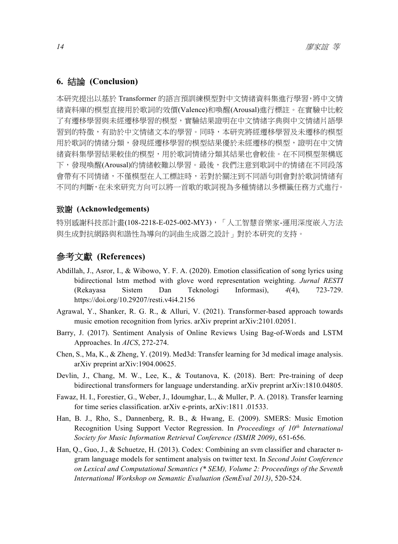#### **6.** 結論 **(Conclusion)**

本研究提出以基於 Transformer 的語言預訓練模型對中文情緒資料集進行學習,將中文情 緒資料庫的模型直接用於歌詞的效價(Valence)和喚醒(Arousal)進行標註。在實驗中比較 了有遷移學習與本學習的模型,實驗結果證明在中文情緒字典與中文情緒片語學 習到的特徵,有助於中文情緒文本的學習。同時,本研究將經遷移學習及未遷移的模型 用於歌詞的情緒分類,發現經遷移學習的模型結果優於未經遷移的模型,證明在中文情 緒資料集學習結果較佳的模型,用於歌詞情緒分類其結果也會較佳。在不同模型架構底 下,發現喚醒(Arousal)的情緒較難以學習。最後,我們注意到歌詞中的情緒在不同段落 會帶有不同情緒,不僅模型在人工標註時,若對於關注到不同語句則會對於歌詞情緒有 不同的判斷,在未來研究方向可以將一首歌的歌詞視為多種情緒以多標籤任務方式進行。

#### 致謝 **(Acknowledgements)**

特別感謝科技部計畫(108-2218-E-025-002-MY3), 「人工智慧音樂家-運用深度嵌入方法 與生成對抗網路與和諧性為導向的詞曲生成器之設計」對於本研究的支持。

## 參考文獻 **(References)**

- Abdillah, J., Asror, I., & Wibowo, Y. F. A. (2020). Emotion classification of song lyrics using bidirectional lstm method with glove word representation weighting. *Jurnal RESTI* (Rekayasa Sistem Dan Teknologi Informasi), *4*(4), 723-729. https://doi.org/10.29207/resti.v4i4.2156
- Agrawal, Y., Shanker, R. G. R., & Alluri, V. (2021). Transformer-based approach towards music emotion recognition from lyrics. arXiv preprint arXiv:2101.02051.
- Barry, J. (2017). Sentiment Analysis of Online Reviews Using Bag-of-Words and LSTM Approaches. In *AICS*, 272-274.
- Chen, S., Ma, K., & Zheng, Y. (2019). Med3d: Transfer learning for 3d medical image analysis. arXiv preprint arXiv:1904.00625.
- Devlin, J., Chang, M. W., Lee, K., & Toutanova, K. (2018). Bert: Pre-training of deep bidirectional transformers for language understanding. arXiv preprint arXiv:1810.04805.
- Fawaz, H. I., Forestier, G., Weber, J., Idoumghar, L., & Muller, P. A. (2018). Transfer learning for time series classification. arXiv e-prints, arXiv:1811 .01533.
- Han, B. J., Rho, S., Dannenberg, R. B., & Hwang, E. (2009). SMERS: Music Emotion Recognition Using Support Vector Regression. In *Proceedings of 10th International Society for Music Information Retrieval Conference (ISMIR 2009)*, 651-656.
- Han, Q., Guo, J., & Schuetze, H. (2013). Codex: Combining an svm classifier and character ngram language models for sentiment analysis on twitter text. In *Second Joint Conference on Lexical and Computational Semantics (\* SEM), Volume 2: Proceedings of the Seventh International Workshop on Semantic Evaluation (SemEval 2013)*, 520-524.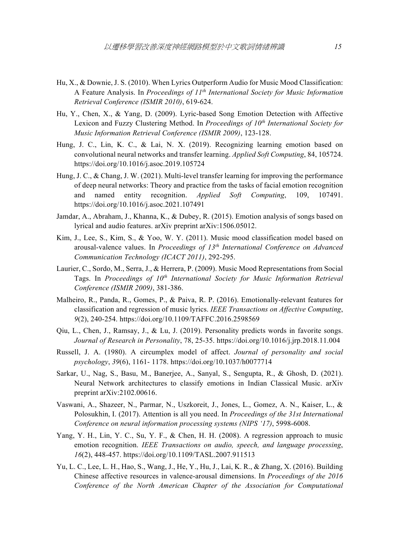- Hu, X., & Downie, J. S. (2010). When Lyrics Outperform Audio for Music Mood Classification: A Feature Analysis. In *Proceedings of 11th International Society for Music Information Retrieval Conference (ISMIR 2010)*, 619-624.
- Hu, Y., Chen, X., & Yang, D. (2009). Lyric-based Song Emotion Detection with Affective Lexicon and Fuzzy Clustering Method. In *Proceedings of 10<sup>th</sup> International Society for Music Information Retrieval Conference (ISMIR 2009)*, 123-128.
- Hung, J. C., Lin, K. C., & Lai, N. X. (2019). Recognizing learning emotion based on convolutional neural networks and transfer learning. *Applied Soft Computing*, 84, 105724. https://doi.org/10.1016/j.asoc.2019.105724
- Hung, J. C., & Chang, J. W. (2021). Multi-level transfer learning for improving the performance of deep neural networks: Theory and practice from the tasks of facial emotion recognition and named entity recognition. *Applied Soft Computing*, 109, 107491. https://doi.org/10.1016/j.asoc.2021.107491
- Jamdar, A., Abraham, J., Khanna, K., & Dubey, R. (2015). Emotion analysis of songs based on lyrical and audio features. arXiv preprint arXiv:1506.05012.
- Kim, J., Lee, S., Kim, S., & Yoo, W. Y. (2011). Music mood classification model based on arousal-valence values. In *Proceedings of 13th International Conference on Advanced Communication Technology (ICACT 2011)*, 292-295.
- Laurier, C., Sordo, M., Serra, J., & Herrera, P. (2009). Music Mood Representations from Social Tags. In *Proceedings of 10<sup>th</sup> International Society for Music Information Retrieval Conference (ISMIR 2009)*, 381-386.
- Malheiro, R., Panda, R., Gomes, P., & Paiva, R. P. (2016). Emotionally-relevant features for classification and regression of music lyrics. *IEEE Transactions on Affective Computing*, *9*(2), 240-254. https://doi.org/10.1109/TAFFC.2016.2598569
- Qiu, L., Chen, J., Ramsay, J., & Lu, J. (2019). Personality predicts words in favorite songs. *Journal of Research in Personality*, 78, 25-35. https://doi.org/10.1016/j.jrp.2018.11.004
- Russell, J. A. (1980). A circumplex model of affect. *Journal of personality and social psychology*, *39*(6), 1161- 1178. https://doi.org/10.1037/h0077714
- Sarkar, U., Nag, S., Basu, M., Banerjee, A., Sanyal, S., Sengupta, R., & Ghosh, D. (2021). Neural Network architectures to classify emotions in Indian Classical Music. arXiv preprint arXiv:2102.00616.
- Vaswani, A., Shazeer, N., Parmar, N., Uszkoreit, J., Jones, L., Gomez, A. N., Kaiser, L., & Polosukhin, I. (2017). Attention is all you need. In *Proceedings of the 31st International Conference on neural information processing systems (NIPS '17)*, 5998-6008.
- Yang, Y. H., Lin, Y. C., Su, Y. F., & Chen, H. H. (2008). A regression approach to music emotion recognition. *IEEE Transactions on audio, speech, and language processing*, *16*(2), 448-457. https://doi.org/10.1109/TASL.2007.911513
- Yu, L. C., Lee, L. H., Hao, S., Wang, J., He, Y., Hu, J., Lai, K. R., & Zhang, X. (2016). Building Chinese affective resources in valence-arousal dimensions. In *Proceedings of the 2016 Conference of the North American Chapter of the Association for Computational*